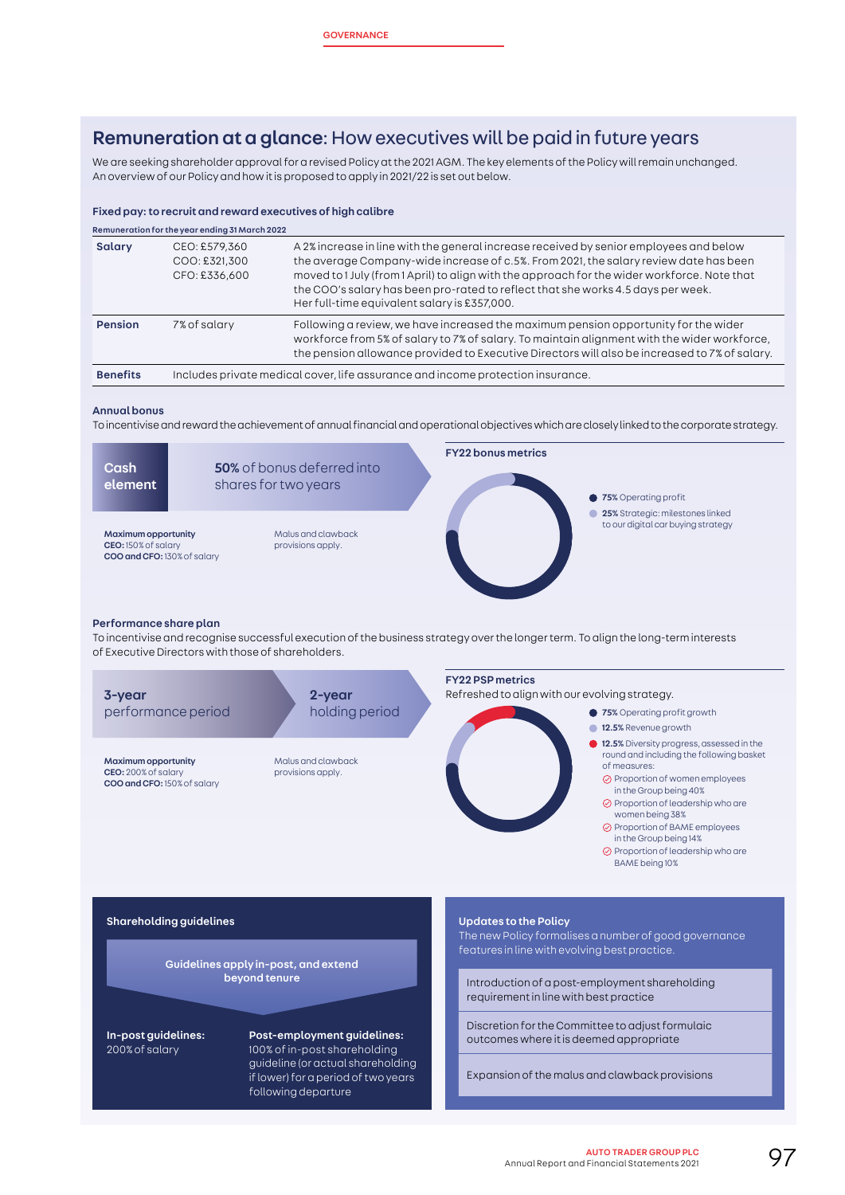# Remuneration at a glance: How executives will be paid in future years

We are seeking shareholder approval for a revised Policy at the 2021 AGM. The key elements of the Policy will remain unchanged. An overview of our Policy and how it is proposed to apply in 2021/22 is set out below.

# Fixed pay: to recruit and reward executives of high calibre

| Remuneration for the year ending 31 March 2022 |                                                                                 |                                                                                                                                                                                                                                                                                                                                                                                                                     |  |  |
|------------------------------------------------|---------------------------------------------------------------------------------|---------------------------------------------------------------------------------------------------------------------------------------------------------------------------------------------------------------------------------------------------------------------------------------------------------------------------------------------------------------------------------------------------------------------|--|--|
| Salary                                         | CEO: £579,360<br>COO: £321,300<br>CFO: £336,600                                 | A 2% increase in line with the general increase received by senior employees and below<br>the average Company-wide increase of c.5%. From 2021, the salary review date has been<br>moved to 1 July (from 1 April) to align with the approach for the wider workforce. Note that<br>the COO's salary has been pro-rated to reflect that she works 4.5 days per week.<br>Her full-time equivalent salary is £357,000. |  |  |
| <b>Pension</b>                                 | 7% of salary                                                                    | Following a review, we have increased the maximum pension opportunity for the wider<br>workforce from 5% of salary to 7% of salary. To maintain alignment with the wider workforce,<br>the pension allowance provided to Executive Directors will also be increased to 7% of salary.                                                                                                                                |  |  |
| <b>Benefits</b>                                | Includes private medical cover, life assurance and income protection insurance. |                                                                                                                                                                                                                                                                                                                                                                                                                     |  |  |

#### Annual bonus

To incentivise and reward the achievement of annual financial and operational objectives which are closely linked to the corporate strategy.

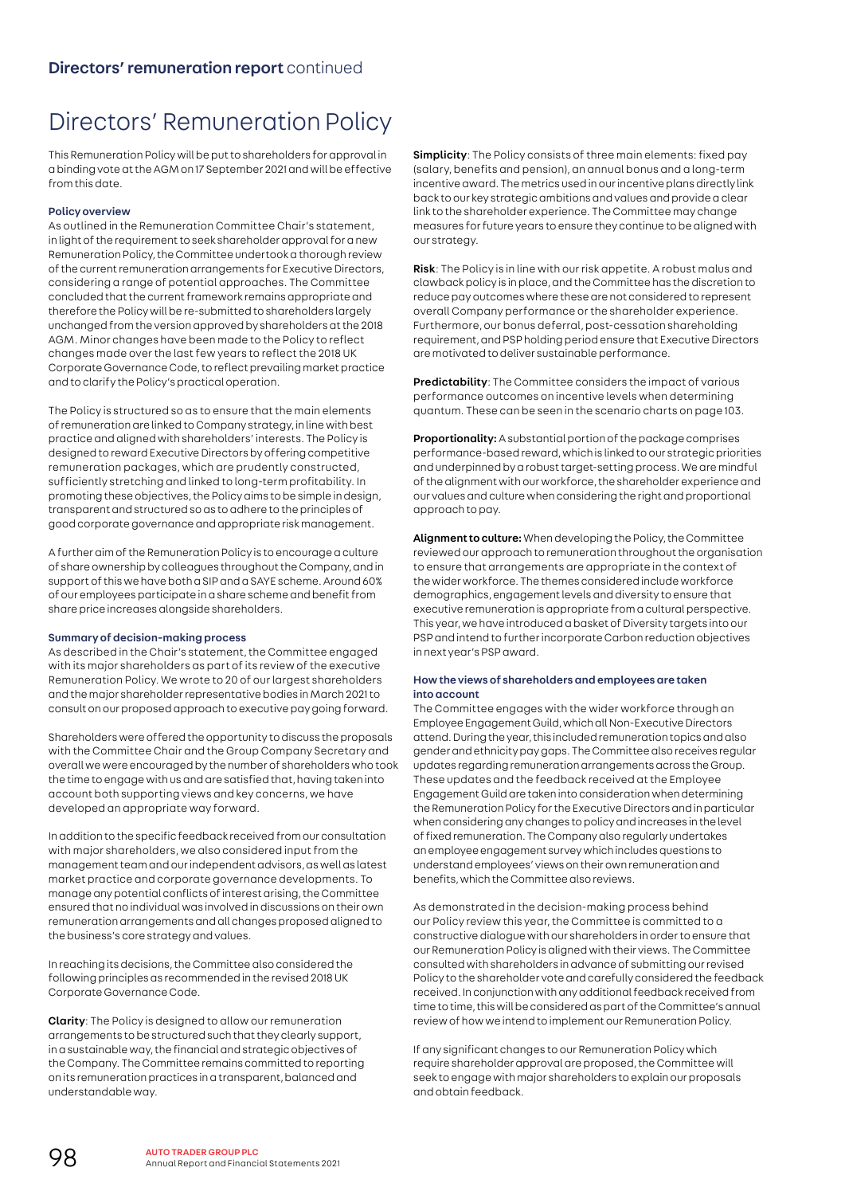# Directors' Remuneration Policy

This Remuneration Policy will be put to shareholders for approval in a binding vote at the AGM on 17 September 2021 and will be effective from this date.

# Policy overview

As outlined in the Remuneration Committee Chair's statement, in light of the requirement to seek shareholder approval for a new Remuneration Policy, the Committee undertook a thorough review of the current remuneration arrangements for Executive Directors, considering a range of potential approaches. The Committee concluded that the current framework remains appropriate and therefore the Policy will be re-submitted to shareholders largely unchanged from the version approved by shareholders at the 2018 AGM. Minor changes have been made to the Policy to reflect changes made over the last few years to reflect the 2018 UK Corporate Governance Code, to reflect prevailing market practice and to clarify the Policy's practical operation.

The Policy is structured so as to ensure that the main elements of remuneration are linked to Company strategy, in line with best practice and aligned with shareholders' interests. The Policy is designed to reward Executive Directors by offering competitive remuneration packages, which are prudently constructed, sufficiently stretching and linked to long-term profitability. In promoting these objectives, the Policy aims to be simple in design, transparent and structured so as to adhere to the principles of good corporate governance and appropriate risk management.

A further aim of the Remuneration Policy is to encourage a culture of share ownership by colleagues throughout the Company, and in support of this we have both a SIP and a SAYE scheme. Around 60% of our employees participate in a share scheme and benefit from share price increases alongside shareholders.

## Summary of decision-making process

As described in the Chair's statement, the Committee engaged with its major shareholders as part of its review of the executive Remuneration Policy. We wrote to 20 of our largest shareholders and the major shareholder representative bodies in March 2021 to consult on our proposed approach to executive pay going forward.

Shareholders were offered the opportunity to discuss the proposals with the Committee Chair and the Group Company Secretary and overall we were encouraged by the number of shareholders who took the time to engage with us and are satisfied that, having taken into account both supporting views and key concerns, we have developed an appropriate way forward.

In addition to the specific feedback received from our consultation with major shareholders, we also considered input from the management team and our independent advisors, as well as latest market practice and corporate governance developments. To manage any potential conflicts of interest arising, the Committee ensured that no individual was involved in discussions on their own remuneration arrangements and all changes proposed aligned to the business's core strategy and values.

In reaching its decisions, the Committee also considered the following principles as recommended in the revised 2018 UK Corporate Governance Code.

Clarity: The Policy is designed to allow our remuneration arrangements to be structured such that they clearly support, in a sustainable way, the financial and strategic objectives of the Company. The Committee remains committed to reporting on its remuneration practices in a transparent, balanced and understandable way.

Simplicity: The Policy consists of three main elements: fixed pay (salary, benefits and pension), an annual bonus and a long-term incentive award. The metrics used in our incentive plans directly link back to our key strategic ambitions and values and provide a clear link to the shareholder experience. The Committee may change measures for future years to ensure they continue to be aligned with our strategy.

Risk: The Policy is in line with our risk appetite. A robust malus and clawback policy is in place, and the Committee has the discretion to reduce pay outcomes where these are not considered to represent overall Company performance or the shareholder experience. Furthermore, our bonus deferral, post-cessation shareholding requirement, and PSP holding period ensure that Executive Directors are motivated to deliver sustainable performance.

Predictability: The Committee considers the impact of various performance outcomes on incentive levels when determining quantum. These can be seen in the scenario charts on page 103.

Proportionality: A substantial portion of the package comprises performance-based reward, which is linked to our strategic priorities and underpinned by a robust target-setting process. We are mindful of the alignment with our workforce, the shareholder experience and our values and culture when considering the right and proportional approach to pay.

Alignment to culture: When developing the Policy, the Committee reviewed our approach to remuneration throughout the organisation to ensure that arrangements are appropriate in the context of the wider workforce. The themes considered include workforce demographics, engagement levels and diversity to ensure that executive remuneration is appropriate from a cultural perspective. This year, we have introduced a basket of Diversity targets into our PSP and intend to further incorporate Carbon reduction objectives in next year's PSP award.

# How the views of shareholders and employees are taken into account

The Committee engages with the wider workforce through an Employee Engagement Guild, which all Non-Executive Directors attend. During the year, this included remuneration topics and also gender and ethnicity pay gaps. The Committee also receives regular updates regarding remuneration arrangements across the Group. These updates and the feedback received at the Employee Engagement Guild are taken into consideration when determining the Remuneration Policy for the Executive Directors and in particular when considering any changes to policy and increases in the level of fixed remuneration. The Company also regularly undertakes an employee engagement survey which includes questions to understand employees' views on their own remuneration and benefits, which the Committee also reviews.

As demonstrated in the decision-making process behind our Policy review this year, the Committee is committed to a constructive dialogue with our shareholders in order to ensure that our Remuneration Policy is aligned with their views. The Committee consulted with shareholders in advance of submitting our revised Policy to the shareholder vote and carefully considered the feedback received. In conjunction with any additional feedback received from time to time, this will be considered as part of the Committee's annual review of how we intend to implement our Remuneration Policy.

If any significant changes to our Remuneration Policy which require shareholder approval are proposed, the Committee will seek to engage with major shareholders to explain our proposals and obtain feedback.

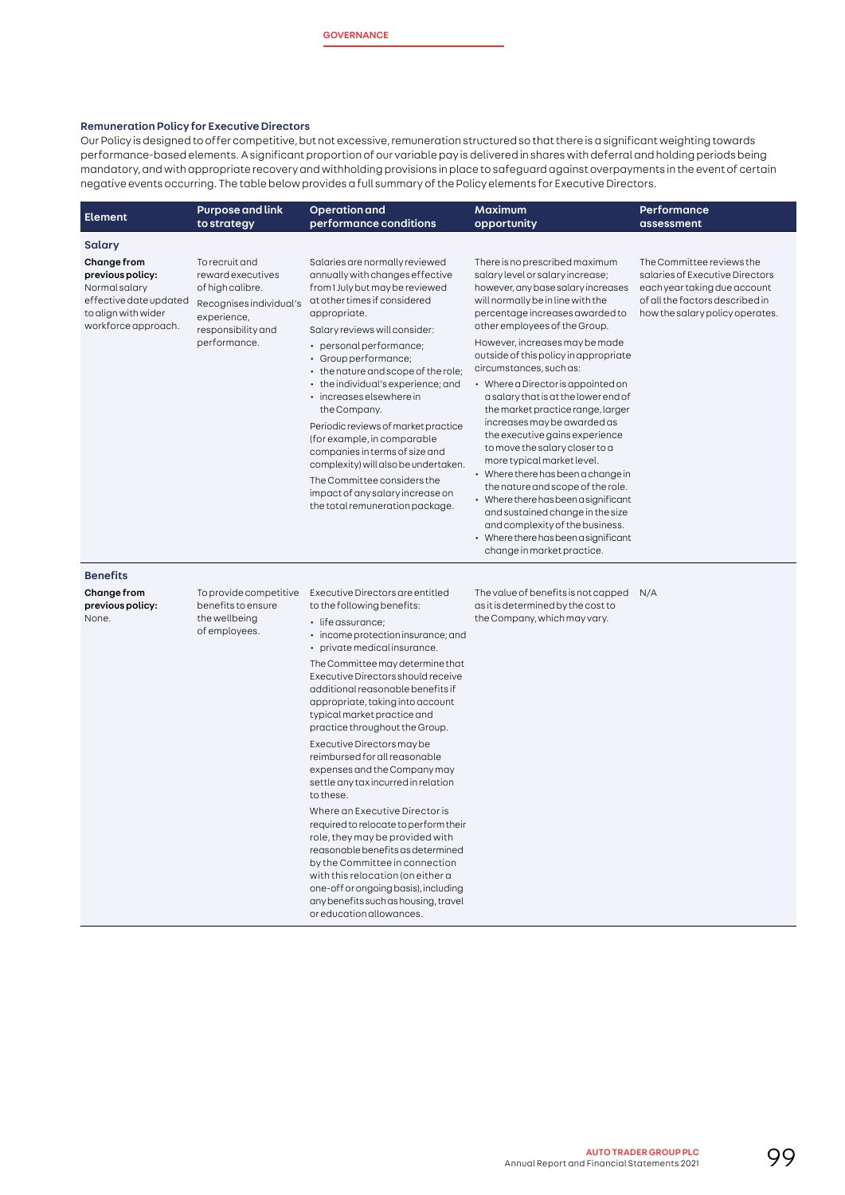### Remuneration Policy for Executive Directors

Our Policy is designed to offer competitive, but not excessive, remuneration structured so that there is a significant weighting towards performance-based elements. A significant proportion of our variable pay is delivered in shares with deferral and holding periods being mandatory, and with appropriate recovery and withholding provisions in place to safeguard against overpayments in the event of certain negative events occurring. The table below provides a full summary of the Policy elements for Executive Directors.

| <b>Element</b>                                                                                                           | <b>Purpose and link</b><br>to strategy                                                                                                  | <b>Operation and</b><br>performance conditions                                                                                                                                                                                                                                                                                                                                                                                                                                                                                                                                                                          | Maximum<br>opportunity                                                                                                                                                                                                                                                                                                                                                                                                                                                                                                                                                                                                                                                                                                                                                                                                                      | Performance<br>assessment                                                                                                                                          |
|--------------------------------------------------------------------------------------------------------------------------|-----------------------------------------------------------------------------------------------------------------------------------------|-------------------------------------------------------------------------------------------------------------------------------------------------------------------------------------------------------------------------------------------------------------------------------------------------------------------------------------------------------------------------------------------------------------------------------------------------------------------------------------------------------------------------------------------------------------------------------------------------------------------------|---------------------------------------------------------------------------------------------------------------------------------------------------------------------------------------------------------------------------------------------------------------------------------------------------------------------------------------------------------------------------------------------------------------------------------------------------------------------------------------------------------------------------------------------------------------------------------------------------------------------------------------------------------------------------------------------------------------------------------------------------------------------------------------------------------------------------------------------|--------------------------------------------------------------------------------------------------------------------------------------------------------------------|
| Salary                                                                                                                   |                                                                                                                                         |                                                                                                                                                                                                                                                                                                                                                                                                                                                                                                                                                                                                                         |                                                                                                                                                                                                                                                                                                                                                                                                                                                                                                                                                                                                                                                                                                                                                                                                                                             |                                                                                                                                                                    |
| Change from<br>previous policy:<br>Normal salary<br>effective date updated<br>to align with wider<br>workforce approach. | To recruit and<br>reward executives<br>of high calibre.<br>Recognises individual's<br>experience,<br>responsibility and<br>performance. | Salaries are normally reviewed<br>annually with changes effective<br>from 1 July but may be reviewed<br>at other times if considered<br>appropriate.<br>Salary reviews will consider:<br>• personal performance;<br>· Group performance;<br>• the nature and scope of the role;<br>• the individual's experience; and<br>· increases elsewhere in<br>the Company.<br>Periodic reviews of market practice<br>(for example, in comparable<br>companies in terms of size and<br>complexity) will also be undertaken.<br>The Committee considers the<br>impact of any salary increase on<br>the total remuneration package. | There is no prescribed maximum<br>salary level or salary increase;<br>however, any base salary increases<br>will normally be in line with the<br>percentage increases awarded to<br>other employees of the Group.<br>However, increases may be made<br>outside of this policy in appropriate<br>circumstances, such as:<br>• Where a Director is appointed on<br>a salary that is at the lower end of<br>the market practice range, larger<br>increases may be awarded as<br>the executive gains experience<br>to move the salary closer to a<br>more typical market level.<br>• Where there has been a change in<br>the nature and scope of the role.<br>• Where there has been a significant<br>and sustained change in the size<br>and complexity of the business.<br>• Where there has been a significant<br>change in market practice. | The Committee reviews the<br>salaries of Executive Directors<br>each year taking due account<br>of all the factors described in<br>how the salary policy operates. |
| <b>Benefits</b>                                                                                                          |                                                                                                                                         |                                                                                                                                                                                                                                                                                                                                                                                                                                                                                                                                                                                                                         |                                                                                                                                                                                                                                                                                                                                                                                                                                                                                                                                                                                                                                                                                                                                                                                                                                             |                                                                                                                                                                    |
| Change from<br>previous policy:<br>None.                                                                                 | To provide competitive<br>benefits to ensure<br>the wellbeing<br>of employees.                                                          | Executive Directors are entitled<br>to the following benefits:<br>· life assurance;                                                                                                                                                                                                                                                                                                                                                                                                                                                                                                                                     | The value of benefits is not capped<br>as it is determined by the cost to<br>the Company, which may vary.                                                                                                                                                                                                                                                                                                                                                                                                                                                                                                                                                                                                                                                                                                                                   | N/A                                                                                                                                                                |
|                                                                                                                          |                                                                                                                                         | • income protection insurance; and<br>• private medical insurance.                                                                                                                                                                                                                                                                                                                                                                                                                                                                                                                                                      |                                                                                                                                                                                                                                                                                                                                                                                                                                                                                                                                                                                                                                                                                                                                                                                                                                             |                                                                                                                                                                    |
|                                                                                                                          |                                                                                                                                         | The Committee may determine that<br>Executive Directors should receive<br>additional reasonable benefits if<br>appropriate, taking into account<br>typical market practice and<br>practice throughout the Group.                                                                                                                                                                                                                                                                                                                                                                                                        |                                                                                                                                                                                                                                                                                                                                                                                                                                                                                                                                                                                                                                                                                                                                                                                                                                             |                                                                                                                                                                    |
|                                                                                                                          |                                                                                                                                         | Executive Directors may be<br>reimbursed for all reasonable<br>expenses and the Company may<br>settle any tax incurred in relation<br>to these.                                                                                                                                                                                                                                                                                                                                                                                                                                                                         |                                                                                                                                                                                                                                                                                                                                                                                                                                                                                                                                                                                                                                                                                                                                                                                                                                             |                                                                                                                                                                    |
|                                                                                                                          |                                                                                                                                         | Where an Executive Director is<br>required to relocate to perform their<br>role, they may be provided with<br>reasonable benefits as determined<br>by the Committee in connection<br>with this relocation (on either a<br>one-off or ongoing basis), including<br>any benefits such as housing, travel<br>or education allowances.                                                                                                                                                                                                                                                                                      |                                                                                                                                                                                                                                                                                                                                                                                                                                                                                                                                                                                                                                                                                                                                                                                                                                             |                                                                                                                                                                    |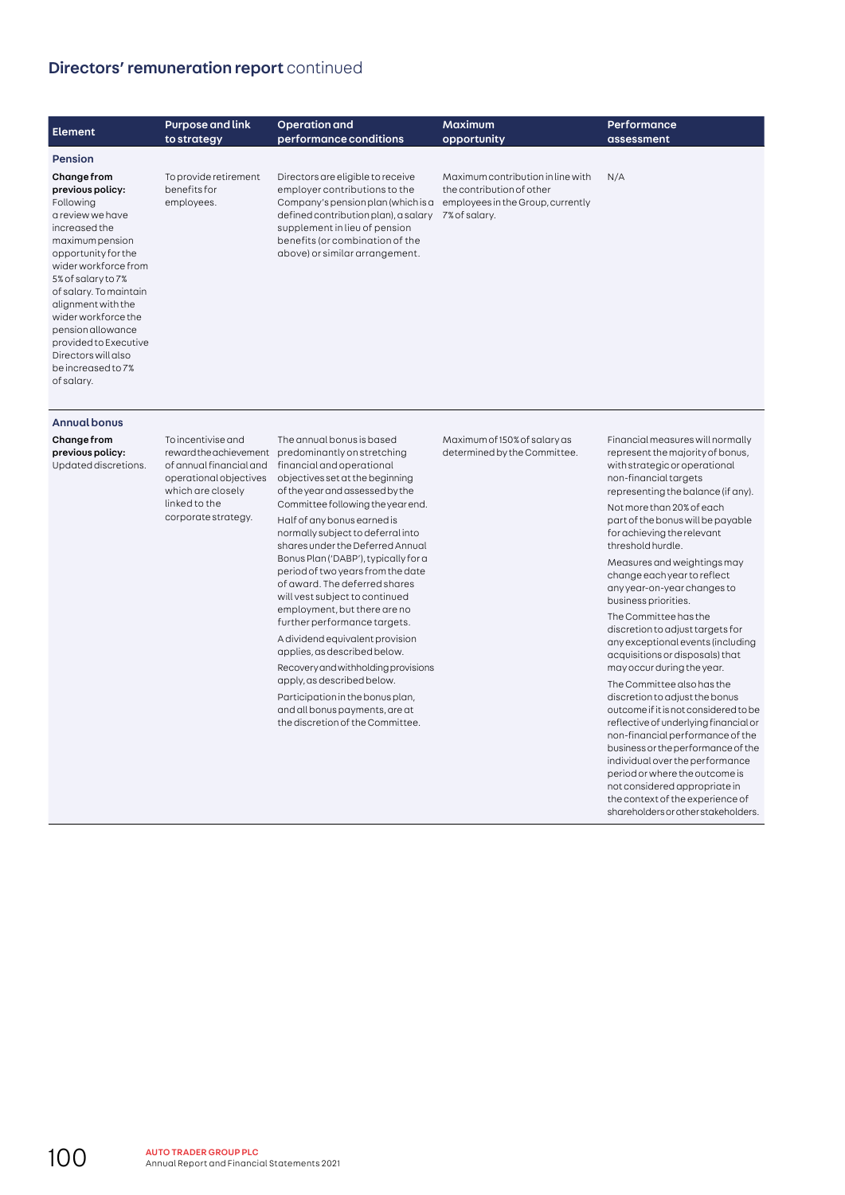# Directors' remuneration report continued

| <b>Element</b>                                                                                                                                                                                                                                                                                                                                            | <b>Purpose and link</b><br>to strategy              | Operation and<br>performance conditions                                                                                                                                                                                                                | <b>Maximum</b><br>opportunity                                                                                        | <b>Performance</b><br>assessment |
|-----------------------------------------------------------------------------------------------------------------------------------------------------------------------------------------------------------------------------------------------------------------------------------------------------------------------------------------------------------|-----------------------------------------------------|--------------------------------------------------------------------------------------------------------------------------------------------------------------------------------------------------------------------------------------------------------|----------------------------------------------------------------------------------------------------------------------|----------------------------------|
| <b>Pension</b>                                                                                                                                                                                                                                                                                                                                            |                                                     |                                                                                                                                                                                                                                                        |                                                                                                                      |                                  |
| Change from<br>previous policy:<br>Following<br>a review we have<br>increased the<br>maximum pension<br>opportunity for the<br>wider workforce from<br>5% of salary to 7%<br>of salary. To maintain<br>alignment with the<br>wider workforce the<br>pension allowance<br>provided to Executive<br>Directors will also<br>be increased to 7%<br>of salary. | To provide retirement<br>benefits for<br>employees. | Directors are eligible to receive<br>employer contributions to the<br>Company's pension plan (which is a<br>defined contribution plan), a salary<br>supplement in lieu of pension<br>benefits (or combination of the<br>above) or similar arrangement. | Maximum contribution in line with<br>the contribution of other<br>employees in the Group, currently<br>7% of salary. | N/A                              |

#### Annual bonus

# Change from

previous policy: Updated discretions. To incentivise and which are closely linked to the corporate strategy.

reward the achievement predominantly on stretching of annual financial and financial and operational operational objectives objectives set at the beginning The annual bonus is based of the year and assessed by the Committee following the year end.

Half of any bonus earned is normally subject to deferral into shares under the Deferred Annual Bonus Plan ('DABP'), typically for a period of two years from the date of award. The deferred shares will vest subject to continued employment, but there are no further performance targets.

A dividend equivalent provision applies, as described below. Recovery and withholding provisions

apply, as described below. Participation in the bonus plan, and all bonus payments, are at the discretion of the Committee. Maximum of 150% of salary as determined by the Committee. Financial measures will normally represent the majority of bonus, with strategic or operational non-financial targets representing the balance (if any).

Not more than 20% of each part of the bonus will be payable for achieving the relevant threshold hurdle.

Measures and weightings may change each year to reflect any year-on-year changes to business priorities.

The Committee has the discretion to adjust targets for any exceptional events (including acquisitions or disposals) that may occur during the year.

The Committee also has the discretion to adjust the bonus outcome if it is not considered to be reflective of underlying financial or non-financial performance of the business or the performance of the individual over the performance period or where the outcome is not considered appropriate in the context of the experience of shareholders or other stakeholders.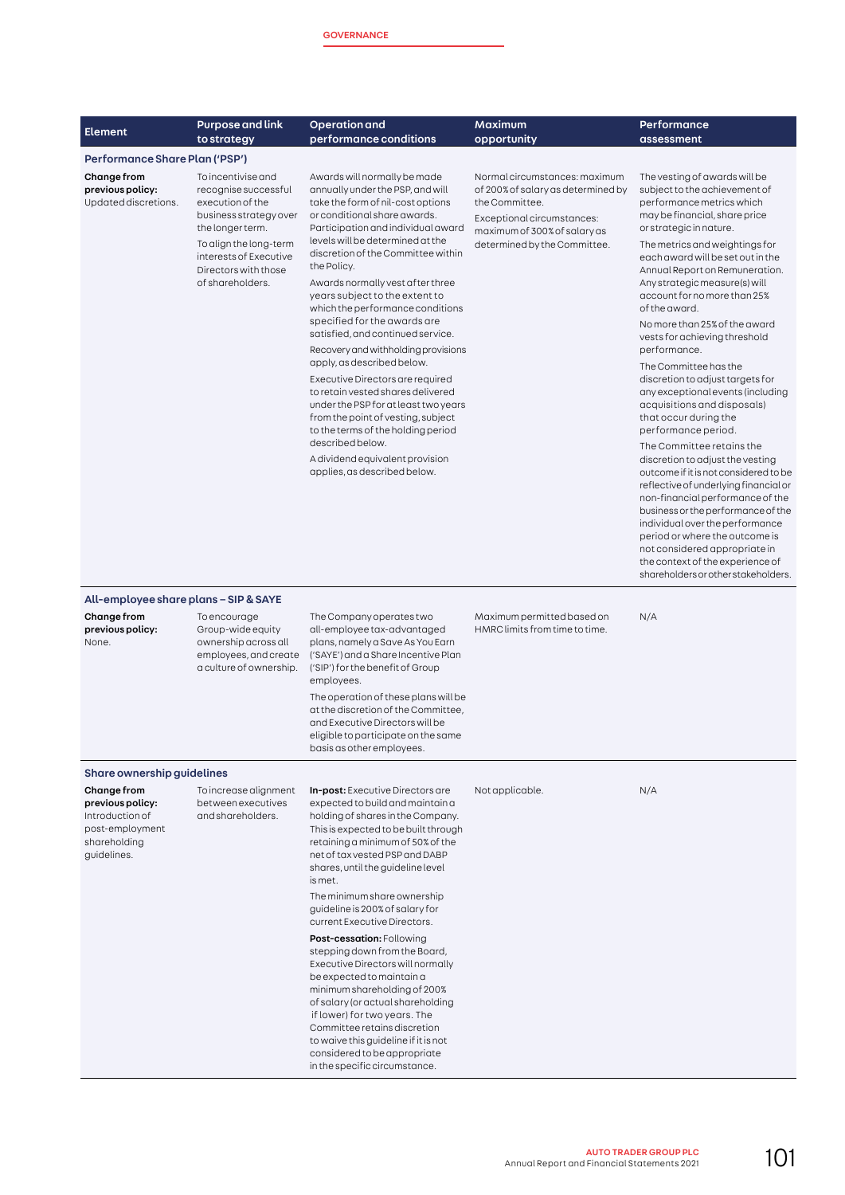|                                                                                                      | <b>Purpose and link</b>                                                                                                                                                                                      | <b>Operation</b> and                                                                                                                                                                                                                                                                                                                                                                                                                                                                                                                                                                                                                                                                                                                                                                                         | Maximum                                                                                                                                                                             | Performance                                                                                                                                                                                                                                                                                                                                                                                                                                                                                                                                                                                                                                                                                                                                                                                                                                                                                                                                                                                                                         |  |
|------------------------------------------------------------------------------------------------------|--------------------------------------------------------------------------------------------------------------------------------------------------------------------------------------------------------------|--------------------------------------------------------------------------------------------------------------------------------------------------------------------------------------------------------------------------------------------------------------------------------------------------------------------------------------------------------------------------------------------------------------------------------------------------------------------------------------------------------------------------------------------------------------------------------------------------------------------------------------------------------------------------------------------------------------------------------------------------------------------------------------------------------------|-------------------------------------------------------------------------------------------------------------------------------------------------------------------------------------|-------------------------------------------------------------------------------------------------------------------------------------------------------------------------------------------------------------------------------------------------------------------------------------------------------------------------------------------------------------------------------------------------------------------------------------------------------------------------------------------------------------------------------------------------------------------------------------------------------------------------------------------------------------------------------------------------------------------------------------------------------------------------------------------------------------------------------------------------------------------------------------------------------------------------------------------------------------------------------------------------------------------------------------|--|
| <b>Element</b>                                                                                       | to strategy                                                                                                                                                                                                  | performance conditions                                                                                                                                                                                                                                                                                                                                                                                                                                                                                                                                                                                                                                                                                                                                                                                       | opportunity                                                                                                                                                                         | assessment                                                                                                                                                                                                                                                                                                                                                                                                                                                                                                                                                                                                                                                                                                                                                                                                                                                                                                                                                                                                                          |  |
| Performance Share Plan ('PSP')                                                                       |                                                                                                                                                                                                              |                                                                                                                                                                                                                                                                                                                                                                                                                                                                                                                                                                                                                                                                                                                                                                                                              |                                                                                                                                                                                     |                                                                                                                                                                                                                                                                                                                                                                                                                                                                                                                                                                                                                                                                                                                                                                                                                                                                                                                                                                                                                                     |  |
| Change from<br>previous policy:<br>Updated discretions.                                              | To incentivise and<br>recognise successful<br>execution of the<br>business strategy over<br>the longer term.<br>To align the long-term<br>interests of Executive<br>Directors with those<br>of shareholders. | Awards will normally be made<br>annually under the PSP, and will<br>take the form of nil-cost options<br>or conditional share awards.<br>Participation and individual award<br>levels will be determined at the<br>discretion of the Committee within<br>the Policy.<br>Awards normally vest after three<br>years subject to the extent to<br>which the performance conditions<br>specified for the awards are<br>satisfied, and continued service.<br>Recovery and withholding provisions<br>apply, as described below.<br>Executive Directors are required<br>to retain vested shares delivered<br>under the PSP for at least two years<br>from the point of vesting, subject<br>to the terms of the holding period<br>described below.<br>A dividend equivalent provision<br>applies, as described below. | Normal circumstances: maximum<br>of 200% of salary as determined by<br>the Committee.<br>Exceptional circumstances:<br>maximum of 300% of salary as<br>determined by the Committee. | The vesting of awards will be<br>subject to the achievement of<br>performance metrics which<br>may be financial, share price<br>or strategic in nature.<br>The metrics and weightings for<br>each award will be set out in the<br>Annual Report on Remuneration.<br>Any strategic measure(s) will<br>account for no more than 25%<br>of the award.<br>No more than 25% of the award<br>vests for achieving threshold<br>performance.<br>The Committee has the<br>discretion to adjust targets for<br>any exceptional events (including<br>acquisitions and disposals)<br>that occur during the<br>performance period.<br>The Committee retains the<br>discretion to adjust the vesting<br>outcome if it is not considered to be<br>reflective of underlying financial or<br>non-financial performance of the<br>business or the performance of the<br>individual over the performance<br>period or where the outcome is<br>not considered appropriate in<br>the context of the experience of<br>shareholders or other stakeholders. |  |
| All-employee share plans – SIP & SAYE<br>Change from<br>previous policy:<br>None.                    | To encourage<br>Group-wide equity<br>ownership across all<br>employees, and create<br>a culture of ownership.                                                                                                | The Company operates two<br>all-employee tax-advantaged<br>plans, namely a Save As You Earn<br>('SAYE') and a Share Incentive Plan<br>('SIP') for the benefit of Group<br>employees.<br>The operation of these plans will be<br>at the discretion of the Committee,<br>and Executive Directors will be<br>eligible to participate on the same<br>basis as other employees.                                                                                                                                                                                                                                                                                                                                                                                                                                   | Maximum permitted based on<br>HMRC limits from time to time.                                                                                                                        | N/A                                                                                                                                                                                                                                                                                                                                                                                                                                                                                                                                                                                                                                                                                                                                                                                                                                                                                                                                                                                                                                 |  |
| Share ownership guidelines                                                                           |                                                                                                                                                                                                              |                                                                                                                                                                                                                                                                                                                                                                                                                                                                                                                                                                                                                                                                                                                                                                                                              |                                                                                                                                                                                     |                                                                                                                                                                                                                                                                                                                                                                                                                                                                                                                                                                                                                                                                                                                                                                                                                                                                                                                                                                                                                                     |  |
| Change from<br>previous policy:<br>Introduction of<br>post-employment<br>shareholding<br>guidelines. | To increase alignment<br>between executives<br>and shareholders.                                                                                                                                             | <b>In-post:</b> Executive Directors are<br>expected to build and maintain a<br>holding of shares in the Company.<br>This is expected to be built through<br>retaining a minimum of 50% of the<br>net of tax vested PSP and DABP<br>shares, until the guideline level<br>is met.<br>The minimum share ownership<br>guideline is 200% of salary for<br>current Executive Directors.<br>Post-cessation: Following                                                                                                                                                                                                                                                                                                                                                                                               | Not applicable.                                                                                                                                                                     | N/A                                                                                                                                                                                                                                                                                                                                                                                                                                                                                                                                                                                                                                                                                                                                                                                                                                                                                                                                                                                                                                 |  |
|                                                                                                      |                                                                                                                                                                                                              | stepping down from the Board,<br>Executive Directors will normally<br>be expected to maintain a<br>minimum shareholding of 200%<br>of salary (or actual shareholding<br>if lower) for two years. The<br>Committee retains discretion<br>to waive this guideline if it is not<br>considered to be appropriate<br>in the specific circumstance.                                                                                                                                                                                                                                                                                                                                                                                                                                                                |                                                                                                                                                                                     |                                                                                                                                                                                                                                                                                                                                                                                                                                                                                                                                                                                                                                                                                                                                                                                                                                                                                                                                                                                                                                     |  |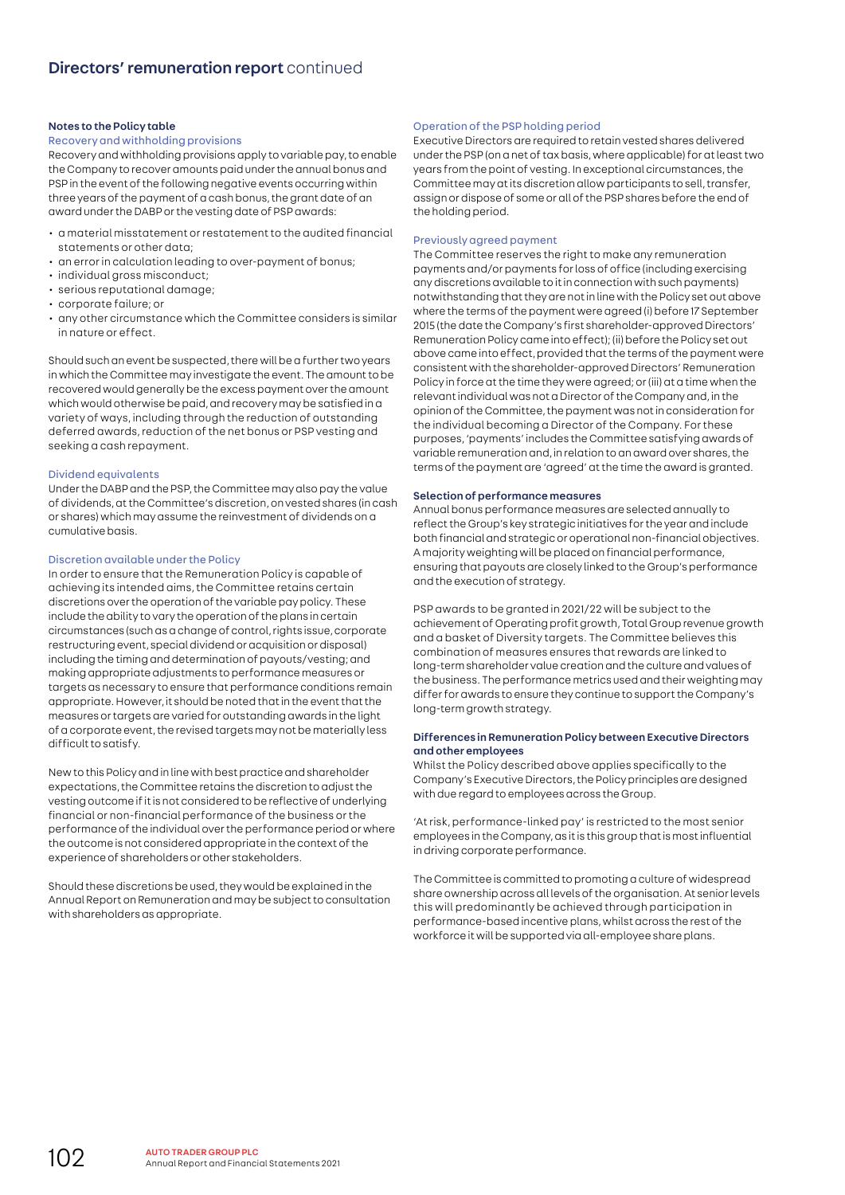## Notes to the Policy table

# Recovery and withholding provisions

Recovery and withholding provisions apply to variable pay, to enable the Company to recover amounts paid under the annual bonus and PSP in the event of the following negative events occurring within three years of the payment of a cash bonus, the grant date of an award under the DABP or the vesting date of PSP awards:

- a material misstatement or restatement to the audited financial statements or other data;
- an error in calculation leading to over-payment of bonus;
- individual gross misconduct:
- serious reputational damage;
- corporate failure; or
- any other circumstance which the Committee considers is similar in nature or effect.

Should such an event be suspected, there will be a further two years in which the Committee may investigate the event. The amount to be recovered would generally be the excess payment over the amount which would otherwise be paid, and recovery may be satisfied in a variety of ways, including through the reduction of outstanding deferred awards, reduction of the net bonus or PSP vesting and seeking a cash repayment.

# Dividend equivalents

Under the DABP and the PSP, the Committee may also pay the value of dividends, at the Committee's discretion, on vested shares (in cash or shares) which may assume the reinvestment of dividends on a cumulative basis.

#### Discretion available under the Policy

In order to ensure that the Remuneration Policy is capable of achieving its intended aims, the Committee retains certain discretions over the operation of the variable pay policy. These include the ability to vary the operation of the plans in certain circumstances (such as a change of control, rights issue, corporate restructuring event, special dividend or acquisition or disposal) including the timing and determination of payouts/vesting; and making appropriate adjustments to performance measures or targets as necessary to ensure that performance conditions remain appropriate. However, it should be noted that in the event that the measures or targets are varied for outstanding awards in the light of a corporate event, the revised targets may not be materially less difficult to satisfy.

New to this Policy and in line with best practice and shareholder expectations, the Committee retains the discretion to adjust the vesting outcome if it is not considered to be reflective of underlying financial or non-financial performance of the business or the performance of the individual over the performance period or where the outcome is not considered appropriate in the context of the experience of shareholders or other stakeholders.

Should these discretions be used, they would be explained in the Annual Report on Remuneration and may be subject to consultation with shareholders as appropriate.

# Operation of the PSP holding period

Executive Directors are required to retain vested shares delivered under the PSP (on a net of tax basis, where applicable) for at least two years from the point of vesting. In exceptional circumstances, the Committee may at its discretion allow participants to sell, transfer, assign or dispose of some or all of the PSP shares before the end of the holding period.

#### Previously agreed payment

The Committee reserves the right to make any remuneration payments and/or payments for loss of office (including exercising any discretions available to it in connection with such payments) notwithstanding that they are not in line with the Policy set out above where the terms of the payment were agreed (i) before 17 September 2015 (the date the Company's first shareholder-approved Directors' Remuneration Policy came into effect); (ii) before the Policy set out above came into effect, provided that the terms of the payment were consistent with the shareholder-approved Directors' Remuneration Policy in force at the time they were agreed; or (iii) at a time when the relevant individual was not a Director of the Company and, in the opinion of the Committee, the payment was not in consideration for the individual becoming a Director of the Company. For these purposes, 'payments' includes the Committee satisfying awards of variable remuneration and, in relation to an award over shares, the terms of the payment are 'agreed' at the time the award is granted.

#### Selection of performance measures

Annual bonus performance measures are selected annually to reflect the Group's key strategic initiatives for the year and include both financial and strategic or operational non-financial objectives. A majority weighting will be placed on financial performance, ensuring that payouts are closely linked to the Group's performance and the execution of strategy.

PSP awards to be granted in 2021/22 will be subject to the achievement of Operating profit growth, Total Group revenue growth and a basket of Diversity targets. The Committee believes this combination of measures ensures that rewards are linked to long-term shareholder value creation and the culture and values of the business. The performance metrics used and their weighting may differ for awards to ensure they continue to support the Company's long-term growth strategy.

# Differences in Remuneration Policy between Executive Directors and other employees

Whilst the Policy described above applies specifically to the Company's Executive Directors, the Policy principles are designed with due regard to employees across the Group.

'At risk, performance-linked pay' is restricted to the most senior employees in the Company, as it is this group that is most influential in driving corporate performance.

The Committee is committed to promoting a culture of widespread share ownership across all levels of the organisation. At senior levels this will predominantly be achieved through participation in performance-based incentive plans, whilst across the rest of the workforce it will be supported via all-employee share plans.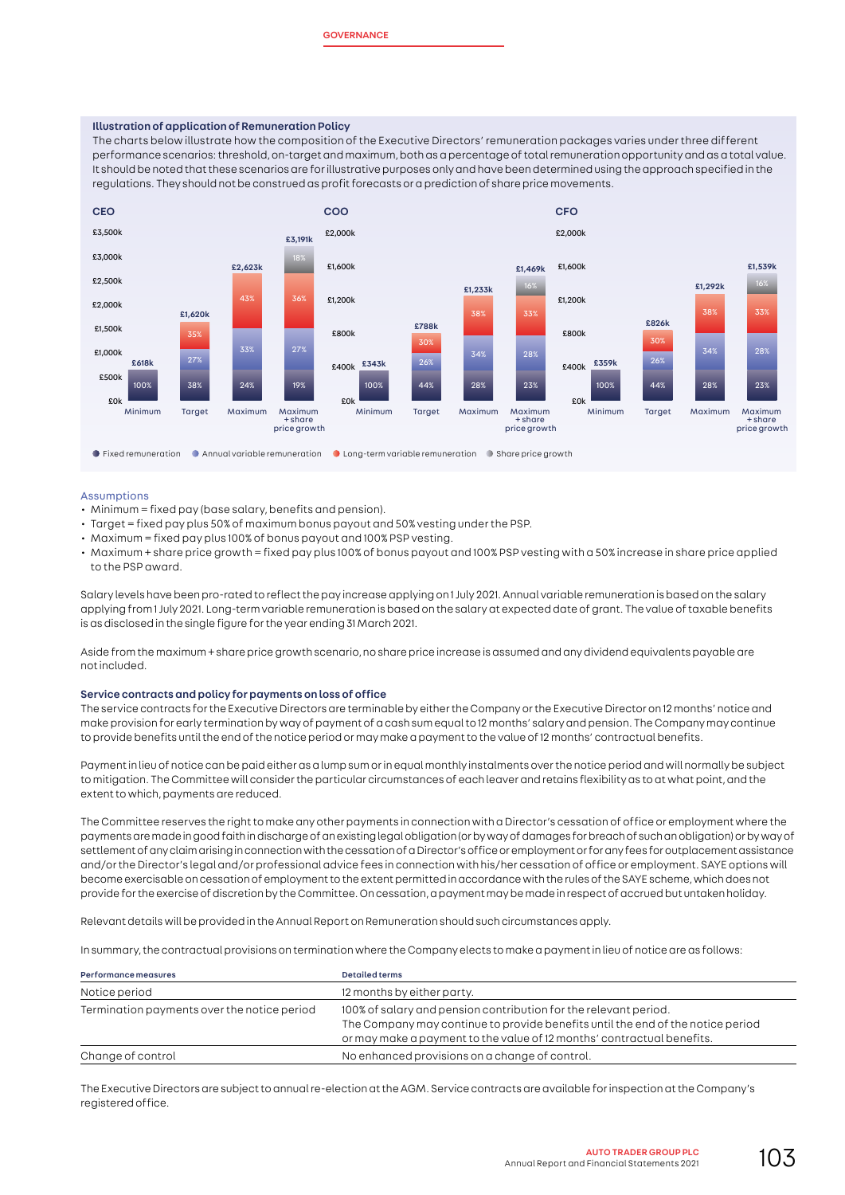#### Illustration of application of Remuneration Policy

The charts below illustrate how the composition of the Executive Directors' remuneration packages varies under three different performance scenarios: threshold, on-target and maximum, both as a percentage of total remuneration opportunity and as a total value. It should be noted that these scenarios are for illustrative purposes only and have been determined using the approach specified in the regulations. They should not be construed as profit forecasts or a prediction of share price movements.



#### Assumptions

- Minimum = fixed pay (base salary, benefits and pension).
- Target = fixed pay plus 50% of maximum bonus payout and 50% vesting under the PSP.
- Maximum = fixed pay plus 100% of bonus payout and 100% PSP vesting.
- Maximum + share price growth = fixed pay plus 100% of bonus payout and 100% PSP vesting with a 50% increase in share price applied to the PSP award.

Salary levels have been pro-rated to reflect the pay increase applying on 1 July 2021. Annual variable remuneration is based on the salary applying from 1 July 2021. Long-term variable remuneration is based on the salary at expected date of grant. The value of taxable benefits is as disclosed in the single figure for the year ending 31 March 2021.

Aside from the maximum + share price growth scenario, no share price increase is assumed and any dividend equivalents payable are not included.

#### Service contracts and policy for payments on loss of office

The service contracts for the Executive Directors are terminable by either the Company or the Executive Director on 12 months' notice and make provision for early termination by way of payment of a cash sum equal to 12 months' salary and pension. The Company may continue to provide benefits until the end of the notice period or may make a payment to the value of 12 months' contractual benefits.

Payment in lieu of notice can be paid either as a lump sum or in equal monthly instalments over the notice period and will normally be subject to mitigation. The Committee will consider the particular circumstances of each leaver and retains flexibility as to at what point, and the extent to which, payments are reduced.

The Committee reserves the right to make any other payments in connection with a Director's cessation of office or employment where the payments are made in good faith in discharge of an existing legal obligation (or by way of damages for breach of such an obligation) or by way of settlement of any claim arising in connection with the cessation of a Director's office or employment or for any fees for outplacement assistance and/or the Director's legal and/or professional advice fees in connection with his/her cessation of office or employment. SAYE options will become exercisable on cessation of employment to the extent permitted in accordance with the rules of the SAYE scheme, which does not provide for the exercise of discretion by the Committee. On cessation, a payment may be made in respect of accrued but untaken holiday.

Relevant details will be provided in the Annual Report on Remuneration should such circumstances apply.

In summary, the contractual provisions on termination where the Company elects to make a payment in lieu of notice are as follows:

| <b>Performance measures</b>                 | <b>Detailed terms</b>                                                                                                                                                                                                         |
|---------------------------------------------|-------------------------------------------------------------------------------------------------------------------------------------------------------------------------------------------------------------------------------|
| Notice period                               | 12 months by either party.                                                                                                                                                                                                    |
| Termination payments over the notice period | 100% of salary and pension contribution for the relevant period.<br>The Company may continue to provide benefits until the end of the notice period<br>or may make a payment to the value of 12 months' contractual benefits. |
| Change of control                           | No enhanced provisions on a change of control.                                                                                                                                                                                |

The Executive Directors are subject to annual re-election at the AGM. Service contracts are available for inspection at the Company's registered office.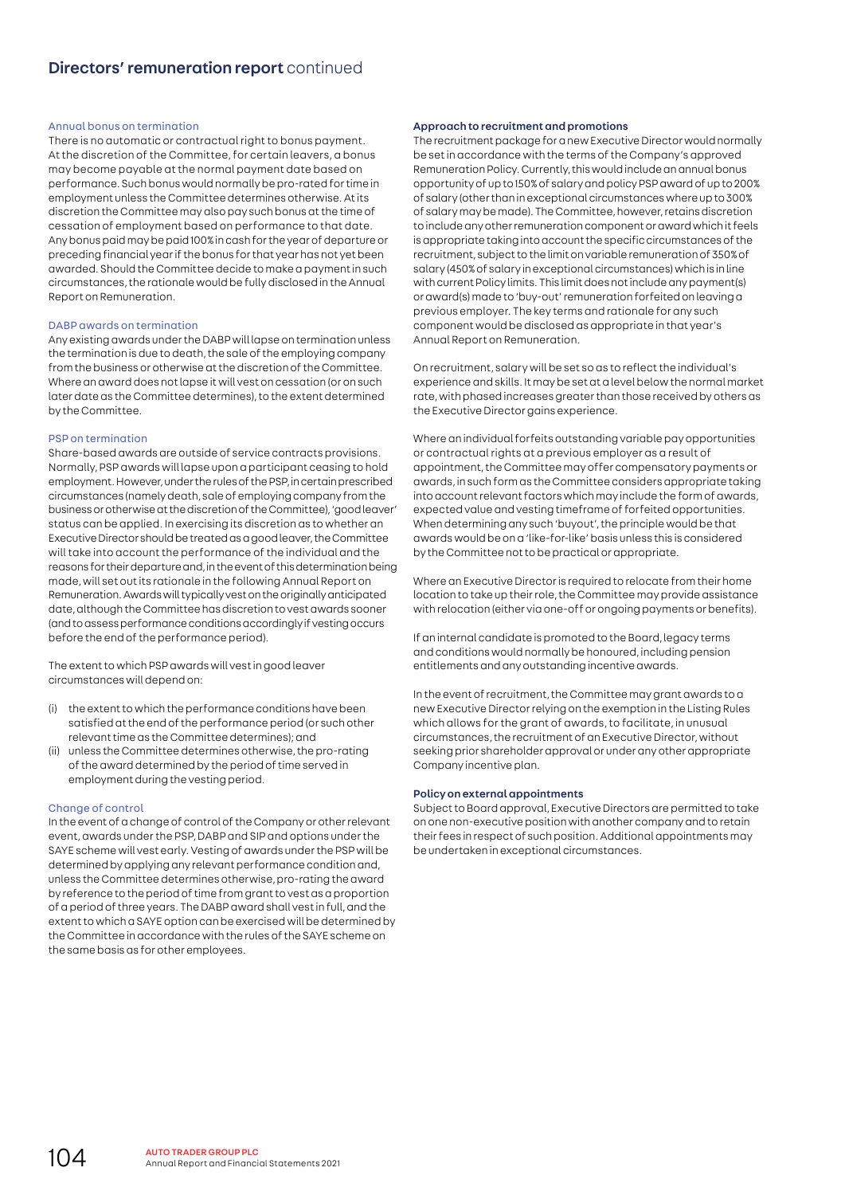#### Annual bonus on termination

There is no automatic or contractual right to bonus payment. At the discretion of the Committee, for certain leavers, a bonus may become payable at the normal payment date based on performance. Such bonus would normally be pro-rated for time in employment unless the Committee determines otherwise. At its discretion the Committee may also pay such bonus at the time of cessation of employment based on performance to that date. Any bonus paid may be paid 100% in cash for the year of departure or preceding financial year if the bonus for that year has not yet been awarded. Should the Committee decide to make a payment in such circumstances, the rationale would be fully disclosed in the Annual Report on Remuneration.

#### DABP awards on termination

Any existing awards under the DABP will lapse on termination unless the termination is due to death, the sale of the employing company from the business or otherwise at the discretion of the Committee. Where an award does not lapse it will vest on cessation (or on such later date as the Committee determines), to the extent determined by the Committee.

#### PSP on termination

Share-based awards are outside of service contracts provisions. Normally, PSP awards will lapse upon a participant ceasing to hold employment. However, under the rules of the PSP, in certain prescribed circumstances (namely death, sale of employing company from the business or otherwise at the discretion of the Committee), 'good leaver' status can be applied. In exercising its discretion as to whether an Executive Director should be treated as a good leaver, the Committee will take into account the performance of the individual and the reasons for their departure and, in the event of this determination being made, will set out its rationale in the following Annual Report on Remuneration. Awards will typically vest on the originally anticipated date, although the Committee has discretion to vest awards sooner (and to assess performance conditions accordingly if vesting occurs before the end of the performance period).

The extent to which PSP awards will vest in good leaver circumstances will depend on:

- (i) the extent to which the performance conditions have been satisfied at the end of the performance period (or such other relevant time as the Committee determines); and
- (ii) unless the Committee determines otherwise, the pro-rating of the award determined by the period of time served in employment during the vesting period.

## Change of control

In the event of a change of control of the Company or other relevant event, awards under the PSP, DABP and SIP and options under the SAYE scheme will vest early. Vesting of awards under the PSP will be determined by applying any relevant performance condition and, unless the Committee determines otherwise, pro-rating the award by reference to the period of time from grant to vest as a proportion of a period of three years. The DABP award shall vest in full, and the extent to which a SAYE option can be exercised will be determined by the Committee in accordance with the rules of the SAYE scheme on the same basis as for other employees.

#### Approach to recruitment and promotions

The recruitment package for a new Executive Director would normally be set in accordance with the terms of the Company's approved Remuneration Policy. Currently, this would include an annual bonus opportunity of up to 150% of salary and policy PSP award of up to 200% of salary (other than in exceptional circumstances where up to 300% of salary may be made). The Committee, however, retains discretion to include any other remuneration component or award which it feels is appropriate taking into account the specific circumstances of the recruitment, subject to the limit on variable remuneration of 350% of salary (450% of salary in exceptional circumstances) which is in line with current Policy limits. This limit does not include any payment(s) or award(s) made to 'buy-out' remuneration forfeited on leaving a previous employer. The key terms and rationale for any such component would be disclosed as appropriate in that year's Annual Report on Remuneration.

On recruitment, salary will be set so as to reflect the individual's experience and skills. It may be set at a level below the normal market rate, with phased increases greater than those received by others as the Executive Director gains experience.

Where an individual forfeits outstanding variable pay opportunities or contractual rights at a previous employer as a result of appointment, the Committee may offer compensatory payments or awards, in such form as the Committee considers appropriate taking into account relevant factors which may include the form of awards, expected value and vesting timeframe of forfeited opportunities. When determining any such 'buyout', the principle would be that awards would be on a 'like-for-like' basis unless this is considered by the Committee not to be practical or appropriate.

Where an Executive Director is required to relocate from their home location to take up their role, the Committee may provide assistance with relocation (either via one-off or ongoing payments or benefits).

If an internal candidate is promoted to the Board, legacy terms and conditions would normally be honoured, including pension entitlements and any outstanding incentive awards.

In the event of recruitment, the Committee may grant awards to a new Executive Director relying on the exemption in the Listing Rules which allows for the grant of awards, to facilitate, in unusual circumstances, the recruitment of an Executive Director, without seeking prior shareholder approval or under any other appropriate Company incentive plan.

## Policy on external appointments

Subject to Board approval, Executive Directors are permitted to take on one non-executive position with another company and to retain their fees in respect of such position. Additional appointments may be undertaken in exceptional circumstances.